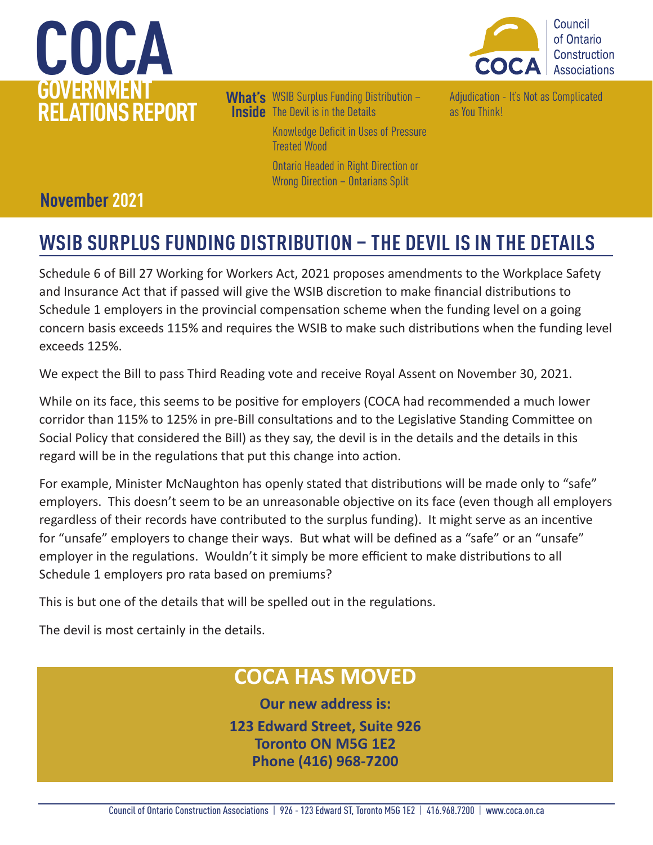



What's WSIB Surplus Funding Distribution – **Inside** The Devil is in the Details [Knowledge Deficit in Uses of Pressure](#page-1-0)  [Treated Wood](#page-1-0)  [Ontario Headed in Right Direction or](#page-2-0)  [Wrong Direction – Ontarians Split](#page-2-0) 

[Adjudication - It's Not as Complicated](#page-2-0)  [as You Think!](#page-2-0)

## **November 2021**

## **WSIB SURPLUS FUNDING DISTRIBUTION – THE DEVIL IS IN THE DETAILS**

Schedule 6 of Bill 27 Working for Workers Act, 2021 proposes amendments to the Workplace Safety and Insurance Act that if passed will give the WSIB discretion to make financial distributions to Schedule 1 employers in the provincial compensation scheme when the funding level on a going concern basis exceeds 115% and requires the WSIB to make such distributions when the funding level exceeds 125%.

We expect the Bill to pass Third Reading vote and receive Royal Assent on November 30, 2021.

While on its face, this seems to be positive for employers (COCA had recommended a much lower corridor than 115% to 125% in pre-Bill consultations and to the Legislative Standing Committee on Social Policy that considered the Bill) as they say, the devil is in the details and the details in this regard will be in the regulations that put this change into action.

For example, Minister McNaughton has openly stated that distributions will be made only to "safe" employers. This doesn't seem to be an unreasonable objective on its face (even though all employers regardless of their records have contributed to the surplus funding). It might serve as an incentive for "unsafe" employers to change their ways. But what will be defined as a "safe" or an "unsafe" employer in the regulations. Wouldn't it simply be more efficient to make distributions to all Schedule 1 employers pro rata based on premiums?

This is but one of the details that will be spelled out in the regulations.

The devil is most certainly in the details.

## **COCA HAS MOVED**

**Our new address is: 123 Edward Street, Suite 926 Toronto ON M5G 1E2 Phone (416) 968-7200**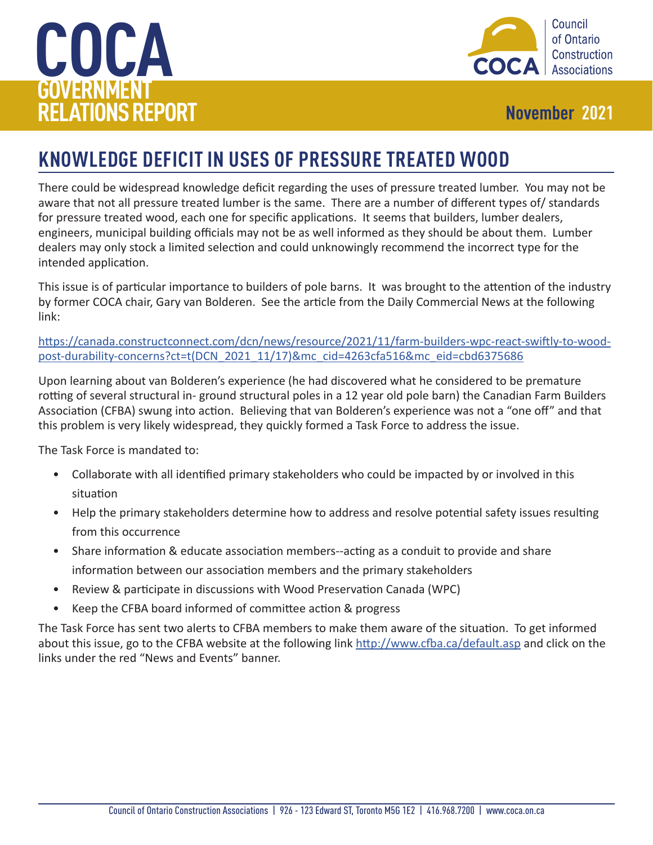<span id="page-1-0"></span>



## **KNOWLEDGE DEFICIT IN USES OF PRESSURE TREATED WOOD**

There could be widespread knowledge deficit regarding the uses of pressure treated lumber. You may not be aware that not all pressure treated lumber is the same. There are a number of different types of/ standards for pressure treated wood, each one for specific applications. It seems that builders, lumber dealers, engineers, municipal building officials may not be as well informed as they should be about them. Lumber dealers may only stock a limited selection and could unknowingly recommend the incorrect type for the intended application.

This issue is of particular importance to builders of pole barns. It was brought to the attention of the industry by former COCA chair, Gary van Bolderen. See the article from the Daily Commercial News at the following link:

[https://canada.constructconnect.com/dcn/news/resource/2021/11/farm-builders-wpc-react-swiftly-to-wood](https://canada.constructconnect.com/dcn/news/resource/2021/11/farm-builders-wpc-react-swiftly-to-wood-post-durability-concerns?ct=t(DCN_2021_11/17)&mc_cid=4263cfa516&mc_eid=cbd6375686)[post-durability-concerns?ct=t\(DCN\\_2021\\_11/17\)&mc\\_cid=4263cfa516&mc\\_eid=cbd6375686](https://canada.constructconnect.com/dcn/news/resource/2021/11/farm-builders-wpc-react-swiftly-to-wood-post-durability-concerns?ct=t(DCN_2021_11/17)&mc_cid=4263cfa516&mc_eid=cbd6375686)

Upon learning about van Bolderen's experience (he had discovered what he considered to be premature rotting of several structural in- ground structural poles in a 12 year old pole barn) the Canadian Farm Builders Association (CFBA) swung into action. Believing that van Bolderen's experience was not a "one off" and that this problem is very likely widespread, they quickly formed a Task Force to address the issue.

The Task Force is mandated to:

- Collaborate with all identified primary stakeholders who could be impacted by or involved in this situation
- Help the primary stakeholders determine how to address and resolve potential safety issues resulting from this occurrence
- Share information & educate association members--acting as a conduit to provide and share information between our association members and the primary stakeholders
- Review & participate in discussions with Wood Preservation Canada (WPC)
- Keep the CFBA board informed of committee action & progress

The Task Force has sent two alerts to CFBA members to make them aware of the situation. To get informed about this issue, go to the CFBA website at the following link <http://www.cfba.ca/default.asp> and click on the links under the red "News and Events" banner.